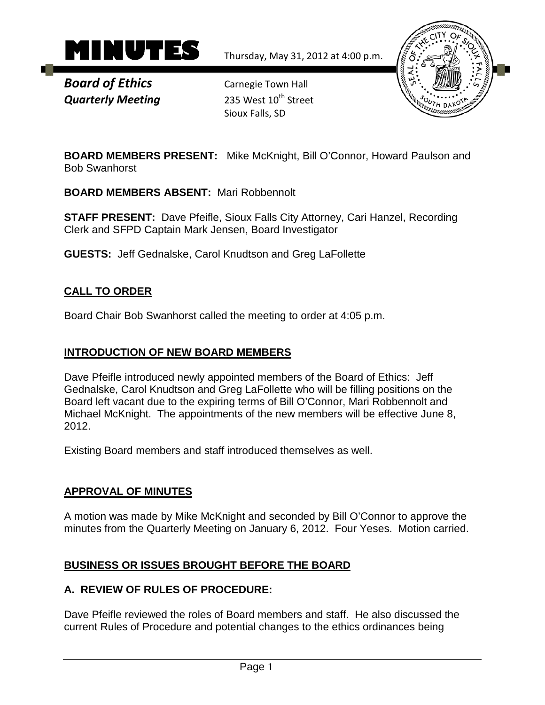

*Board of Ethics* Carnegie Town Hall **Quarterly Meeting** 235 West 10<sup>th</sup> Street

Sioux Falls, SD



**BOARD MEMBERS PRESENT:** Mike McKnight, Bill O'Connor, Howard Paulson and Bob Swanhorst

**BOARD MEMBERS ABSENT:** Mari Robbennolt

**STAFF PRESENT:** Dave Pfeifle, Sioux Falls City Attorney, Cari Hanzel, Recording Clerk and SFPD Captain Mark Jensen, Board Investigator

**GUESTS:** Jeff Gednalske, Carol Knudtson and Greg LaFollette

# **CALL TO ORDER**

Board Chair Bob Swanhorst called the meeting to order at 4:05 p.m.

#### **INTRODUCTION OF NEW BOARD MEMBERS**

Dave Pfeifle introduced newly appointed members of the Board of Ethics: Jeff Gednalske, Carol Knudtson and Greg LaFollette who will be filling positions on the Board left vacant due to the expiring terms of Bill O'Connor, Mari Robbennolt and Michael McKnight. The appointments of the new members will be effective June 8, 2012.

Existing Board members and staff introduced themselves as well.

#### **APPROVAL OF MINUTES**

A motion was made by Mike McKnight and seconded by Bill O'Connor to approve the minutes from the Quarterly Meeting on January 6, 2012. Four Yeses. Motion carried.

#### **BUSINESS OR ISSUES BROUGHT BEFORE THE BOARD**

#### **A. REVIEW OF RULES OF PROCEDURE:**

Dave Pfeifle reviewed the roles of Board members and staff. He also discussed the current Rules of Procedure and potential changes to the ethics ordinances being